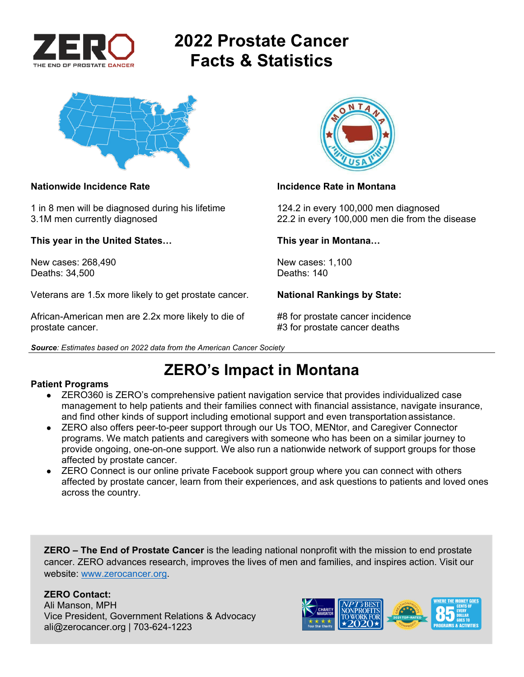

# **2022 Prostate Cancer Facts & Statistics**



1 in 8 men will be diagnosed during his lifetime 124.2 in every 100,000 men diagnosed

**This year in the United States… This year in Montana…** 

New cases: 268,490 New cases: 1,100<br>Deaths: 34.500 Deaths: 140 Deaths: 34,500

Veterans are 1.5x more likely to get prostate cancer. **National Rankings by State:** 

African-American men are 2.2x more likely to die of #8 for prostate cancer incidence prostate cancer. **A constant of the set of the set of the set of the set of the set of the set of the set of the set of the set of the set of the set of the set of the set of the set of the set of the set of the set of the** 





### **Nationwide Incidence Rate Incidence Rate in Montana**

3.1M men currently diagnosed 22.2 in every 100,000 men die from the disease

## **ZERO's Impact in Montana**

### **Patient Programs**

- ZERO360 is ZERO's comprehensive patient navigation service that provides individualized case management to help patients and their families connect with financial assistance, navigate insurance, and find other kinds of support including emotional support and even transportation assistance.
- ZERO also offers peer-to-peer support through our Us TOO, MENtor, and Caregiver Connector programs. We match patients and caregivers with someone who has been on a similar journey to provide ongoing, one-on-one support. We also run a nationwide network of support groups for those affected by prostate cancer.
- ZERO Connect is our online private Facebook support group where you can connect with others affected by prostate cancer, learn from their experiences, and ask questions to patients and loved ones across the country.

**ZERO – The End of Prostate Cancer** is the leading national nonprofit with the mission to end prostate cancer. ZERO advances research, improves the lives of men and families, and inspires action. Visit our website: www.zerocancer.org.

### **ZERO Contact:**

Ali Manson, MPH Vice President, Government Relations & Advocacy ali@zerocancer.org | 703-624-1223